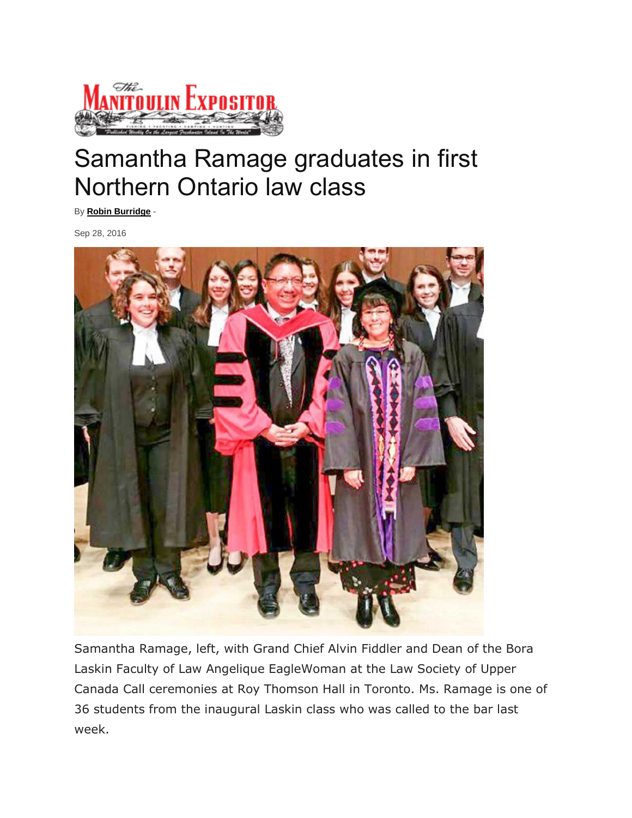

## Samantha Ramage graduates in first Northern Ontario law class

By **[Robin Burridge](http://www.manitoulin.ca/author/robin/)** -

Sep 28, 2016



Samantha Ramage, left, with Grand Chief Alvin Fiddler and Dean of the Bora Laskin Faculty of Law Angelique EagleWoman at the Law Society of Upper Canada Call ceremonies at Roy Thomson Hall in Toronto. Ms. Ramage is one of 36 students from the inaugural Laskin class who was called to the bar last week.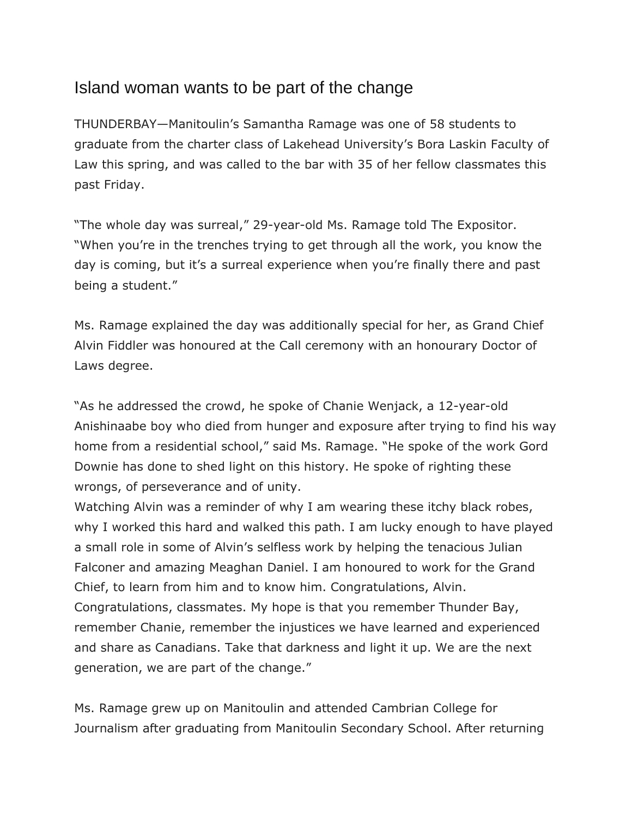## Island woman wants to be part of the change

THUNDERBAY—Manitoulin's Samantha Ramage was one of 58 students to graduate from the charter class of Lakehead University's Bora Laskin Faculty of Law this spring, and was called to the bar with 35 of her fellow classmates this past Friday.

"The whole day was surreal," 29-year-old Ms. Ramage told The Expositor. "When you're in the trenches trying to get through all the work, you know the day is coming, but it's a surreal experience when you're finally there and past being a student."

Ms. Ramage explained the day was additionally special for her, as Grand Chief Alvin Fiddler was honoured at the Call ceremony with an honourary Doctor of Laws degree.

"As he addressed the crowd, he spoke of Chanie Wenjack, a 12-year-old Anishinaabe boy who died from hunger and exposure after trying to find his way home from a residential school," said Ms. Ramage. "He spoke of the work Gord Downie has done to shed light on this history. He spoke of righting these wrongs, of perseverance and of unity.

Watching Alvin was a reminder of why I am wearing these itchy black robes, why I worked this hard and walked this path. I am lucky enough to have played a small role in some of Alvin's selfless work by helping the tenacious Julian Falconer and amazing Meaghan Daniel. I am honoured to work for the Grand Chief, to learn from him and to know him. Congratulations, Alvin. Congratulations, classmates. My hope is that you remember Thunder Bay, remember Chanie, remember the injustices we have learned and experienced and share as Canadians. Take that darkness and light it up. We are the next generation, we are part of the change."

Ms. Ramage grew up on Manitoulin and attended Cambrian College for Journalism after graduating from Manitoulin Secondary School. After returning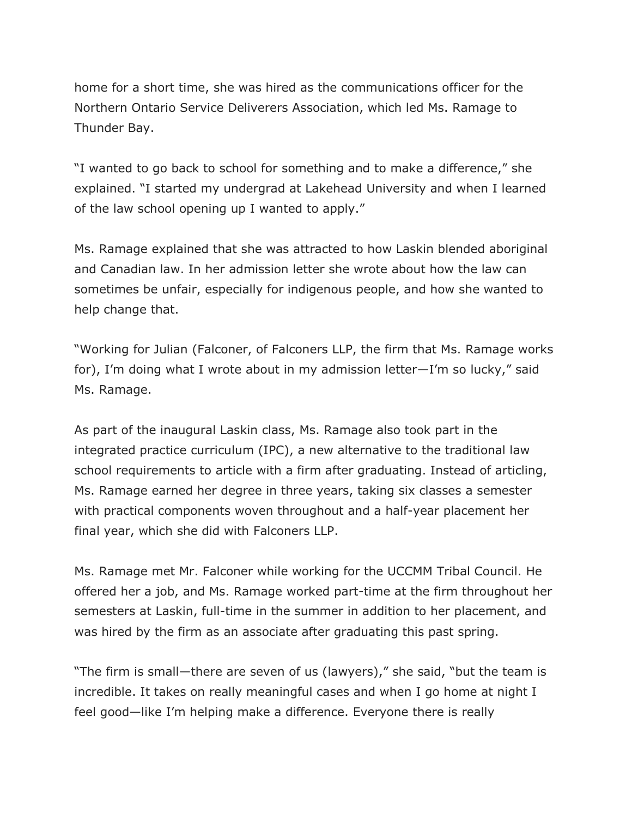home for a short time, she was hired as the communications officer for the Northern Ontario Service Deliverers Association, which led Ms. Ramage to Thunder Bay.

"I wanted to go back to school for something and to make a difference," she explained. "I started my undergrad at Lakehead University and when I learned of the law school opening up I wanted to apply."

Ms. Ramage explained that she was attracted to how Laskin blended aboriginal and Canadian law. In her admission letter she wrote about how the law can sometimes be unfair, especially for indigenous people, and how she wanted to help change that.

"Working for Julian (Falconer, of Falconers LLP, the firm that Ms. Ramage works for), I'm doing what I wrote about in my admission letter—I'm so lucky," said Ms. Ramage.

As part of the inaugural Laskin class, Ms. Ramage also took part in the integrated practice curriculum (IPC), a new alternative to the traditional law school requirements to article with a firm after graduating. Instead of articling, Ms. Ramage earned her degree in three years, taking six classes a semester with practical components woven throughout and a half-year placement her final year, which she did with Falconers LLP.

Ms. Ramage met Mr. Falconer while working for the UCCMM Tribal Council. He offered her a job, and Ms. Ramage worked part-time at the firm throughout her semesters at Laskin, full-time in the summer in addition to her placement, and was hired by the firm as an associate after graduating this past spring.

"The firm is small—there are seven of us (lawyers)," she said, "but the team is incredible. It takes on really meaningful cases and when I go home at night I feel good—like I'm helping make a difference. Everyone there is really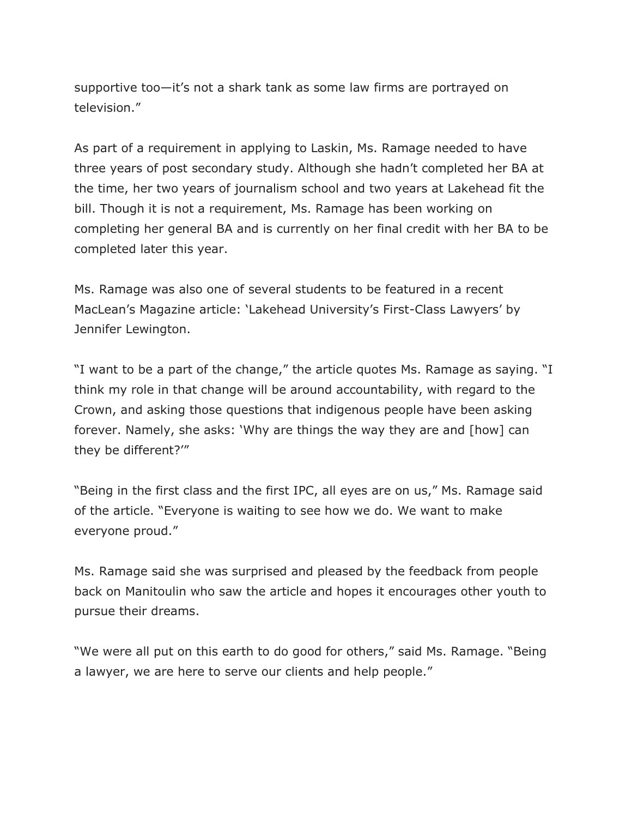supportive too—it's not a shark tank as some law firms are portrayed on television."

As part of a requirement in applying to Laskin, Ms. Ramage needed to have three years of post secondary study. Although she hadn't completed her BA at the time, her two years of journalism school and two years at Lakehead fit the bill. Though it is not a requirement, Ms. Ramage has been working on completing her general BA and is currently on her final credit with her BA to be completed later this year.

Ms. Ramage was also one of several students to be featured in a recent MacLean's Magazine article: 'Lakehead University's First-Class Lawyers' by Jennifer Lewington.

"I want to be a part of the change," the article quotes Ms. Ramage as saying. "I think my role in that change will be around accountability, with regard to the Crown, and asking those questions that indigenous people have been asking forever. Namely, she asks: 'Why are things the way they are and [how] can they be different?'"

"Being in the first class and the first IPC, all eyes are on us," Ms. Ramage said of the article. "Everyone is waiting to see how we do. We want to make everyone proud."

Ms. Ramage said she was surprised and pleased by the feedback from people back on Manitoulin who saw the article and hopes it encourages other youth to pursue their dreams.

"We were all put on this earth to do good for others," said Ms. Ramage. "Being a lawyer, we are here to serve our clients and help people."